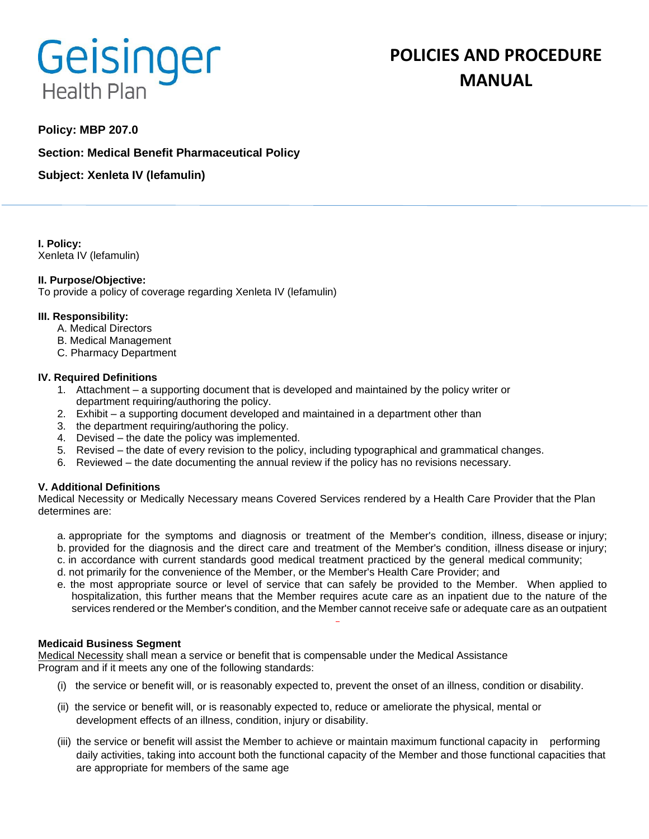# Geisinger **Health Plan**

# **POLICIES AND PROCEDURE MANUAL**

# **Policy: MBP 207.0**

**Section: Medical Benefit Pharmaceutical Policy**

**Subject: Xenleta IV (lefamulin)**

**I. Policy:** Xenleta IV (lefamulin)

## **II. Purpose/Objective:**

To provide a policy of coverage regarding Xenleta IV (lefamulin)

#### **III. Responsibility:**

- A. Medical Directors
- B. Medical Management
- C. Pharmacy Department

#### **IV. Required Definitions**

- 1. Attachment a supporting document that is developed and maintained by the policy writer or department requiring/authoring the policy.
- 2. Exhibit a supporting document developed and maintained in a department other than
- 3. the department requiring/authoring the policy.
- 4. Devised the date the policy was implemented.
- 5. Revised the date of every revision to the policy, including typographical and grammatical changes.
- 6. Reviewed the date documenting the annual review if the policy has no revisions necessary.

## **V. Additional Definitions**

Medical Necessity or Medically Necessary means Covered Services rendered by a Health Care Provider that the Plan determines are:

- a. appropriate for the symptoms and diagnosis or treatment of the Member's condition, illness, disease or injury; b. provided for the diagnosis and the direct care and treatment of the Member's condition, illness disease or injury;
- c. in accordance with current standards good medical treatment practiced by the general medical community;
- d. not primarily for the convenience of the Member, or the Member's Health Care Provider; and
- e. the most appropriate source or level of service that can safely be provided to the Member. When applied to hospitalization, this further means that the Member requires acute care as an inpatient due to the nature of the services rendered or the Member's condition, and the Member cannot receive safe or adequate care as an outpatient

#### **Medicaid Business Segment**

Medical Necessity shall mean a service or benefit that is compensable under the Medical Assistance Program and if it meets any one of the following standards:

- (i) the service or benefit will, or is reasonably expected to, prevent the onset of an illness, condition or disability.
- (ii) the service or benefit will, or is reasonably expected to, reduce or ameliorate the physical, mental or development effects of an illness, condition, injury or disability.
- (iii) the service or benefit will assist the Member to achieve or maintain maximum functional capacity in performing daily activities, taking into account both the functional capacity of the Member and those functional capacities that are appropriate for members of the same age